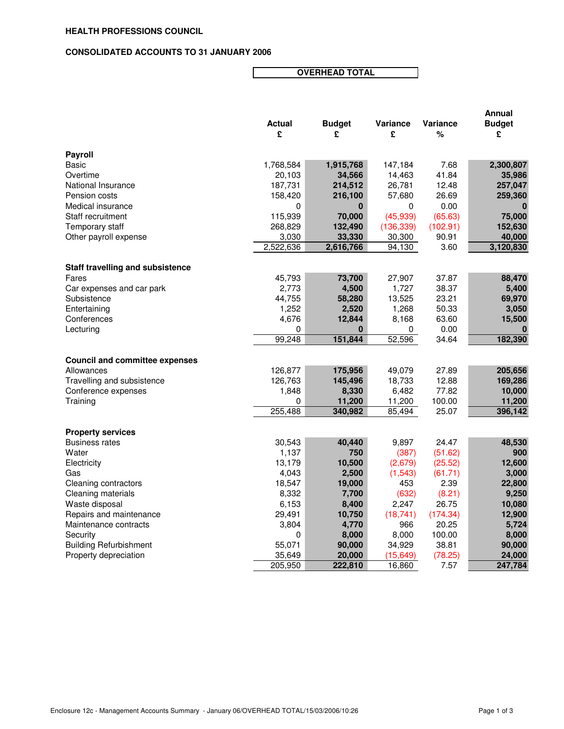## **CONSOLIDATED ACCOUNTS TO 31 JANUARY 2006**

**OVERHEAD TOTAL**

|                                         |               |               |                  |          | Annual        |
|-----------------------------------------|---------------|---------------|------------------|----------|---------------|
|                                         | <b>Actual</b> | <b>Budget</b> | Variance         | Variance | <b>Budget</b> |
|                                         | £             | £             | £                | %        | £             |
| Payroll                                 |               |               |                  |          |               |
| Basic                                   | 1,768,584     | 1,915,768     | 147,184          | 7.68     | 2,300,807     |
| Overtime                                | 20,103        | 34,566        | 14,463           | 41.84    | 35,986        |
| National Insurance                      | 187,731       | 214,512       | 26,781           | 12.48    | 257,047       |
| Pension costs                           | 158,420       | 216,100       | 57,680           | 26.69    | 259,360       |
| Medical insurance                       | 0             | 0             | 0                | 0.00     |               |
| Staff recruitment                       | 115,939       | 70,000        | (45, 939)        | (65.63)  | 75,000        |
| Temporary staff                         | 268,829       | 132,490       | (136, 339)       | (102.91) | 152,630       |
| Other payroll expense                   | 3,030         | 33,330        | 30,300           | 90.91    | 40,000        |
|                                         | 2,522,636     | 2,616,766     | 94,130           | 3.60     | 3,120,830     |
|                                         |               |               |                  |          |               |
| <b>Staff travelling and subsistence</b> |               |               |                  |          |               |
| Fares                                   | 45,793        | 73,700        | 27,907           | 37.87    | 88,470        |
| Car expenses and car park               | 2,773         | 4,500         | 1,727            | 38.37    | 5,400         |
| Subsistence                             | 44,755        | 58,280        | 13,525           | 23.21    | 69,970        |
| Entertaining                            | 1,252         | 2,520         | 1,268            | 50.33    | 3,050         |
| Conferences                             | 4,676         | 12,844        | 8,168            | 63.60    | 15,500        |
| Lecturing                               | 0             | 0             | 0                | 0.00     | 0             |
|                                         | 99,248        | 151,844       | 52,596           | 34.64    | 182,390       |
| <b>Council and committee expenses</b>   |               |               |                  |          |               |
| Allowances                              | 126,877       | 175,956       | 49,079           | 27.89    | 205,656       |
| Travelling and subsistence              | 126,763       | 145,496       | 18,733           | 12.88    | 169,286       |
| Conference expenses                     | 1,848         | 8,330         | 6,482            | 77.82    | 10,000        |
| Training                                | 0             | 11,200        |                  | 100.00   | 11,200        |
|                                         | 255,488       | 340,982       | 11,200<br>85,494 | 25.07    | 396,142       |
|                                         |               |               |                  |          |               |
| <b>Property services</b>                |               |               |                  |          |               |
| <b>Business rates</b>                   | 30,543        | 40,440        | 9,897            | 24.47    | 48,530        |
| Water                                   | 1,137         | 750           | (387)            | (51.62)  | 900           |
| Electricity                             | 13,179        | 10,500        | (2,679)          | (25.52)  | 12,600        |
| Gas                                     | 4,043         | 2,500         | (1, 543)         | (61.71)  | 3,000         |
| <b>Cleaning contractors</b>             | 18,547        | 19,000        | 453              | 2.39     | 22,800        |
| Cleaning materials                      | 8,332         | 7,700         | (632)            | (8.21)   | 9,250         |
| Waste disposal                          | 6,153         | 8,400         | 2,247            | 26.75    | 10,080        |
| Repairs and maintenance                 | 29,491        | 10,750        | (18, 741)        | (174.34) | 12,900        |
| Maintenance contracts                   | 3.804         | 4,770         | 966              | 20.25    | 5,724         |
| Security                                | 0             | 8,000         | 8,000            | 100.00   | 8,000         |
| <b>Building Refurbishment</b>           | 55,071        | 90,000        | 34,929           | 38.81    | 90,000        |
| Property depreciation                   | 35,649        | 20,000        | (15, 649)        | (78.25)  | 24,000        |
|                                         | 205,950       | 222,810       | 16,860           | 7.57     | 247,784       |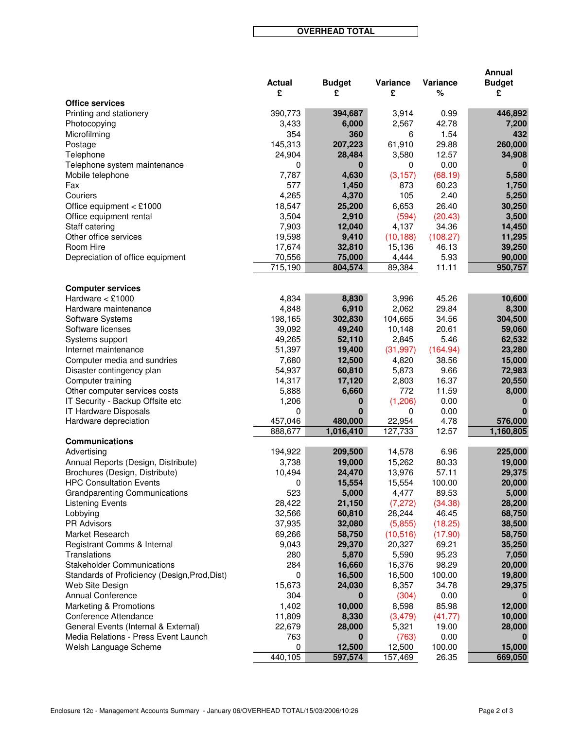**OVERHEAD TOTAL**

|                                               |               |               |           |          | <b>Annual</b> |
|-----------------------------------------------|---------------|---------------|-----------|----------|---------------|
|                                               | <b>Actual</b> | <b>Budget</b> | Variance  | Variance | <b>Budget</b> |
|                                               | £             | £             | £         | %        | £             |
| <b>Office services</b>                        |               |               |           |          |               |
| Printing and stationery                       | 390,773       | 394,687       | 3,914     | 0.99     | 446,892       |
| Photocopying                                  | 3,433         | 6,000         | 2,567     | 42.78    | 7,200         |
| Microfilming                                  | 354           | 360           | 6         | 1.54     | 432           |
| Postage                                       | 145,313       | 207,223       | 61,910    | 29.88    | 260,000       |
| Telephone                                     | 24,904        | 28,484        | 3,580     | 12.57    | 34,908        |
| Telephone system maintenance                  | 0             | 0             | 0         | 0.00     | O             |
| Mobile telephone                              | 7,787         | 4,630         | (3, 157)  | (68.19)  | 5,580         |
| Fax                                           | 577           | 1,450         | 873       | 60.23    | 1,750         |
| Couriers                                      | 4,265         | 4,370         | 105       | 2.40     | 5,250         |
| Office equipment $<$ £1000                    | 18,547        | 25,200        | 6,653     | 26.40    | 30,250        |
| Office equipment rental                       | 3,504         | 2,910         | (594)     | (20.43)  | 3,500         |
| Staff catering                                | 7,903         | 12,040        | 4,137     | 34.36    | 14,450        |
| Other office services                         | 19,598        | 9,410         | (10, 188) | (108.27) | 11,295        |
| Room Hire                                     | 17,674        | 32,810        | 15,136    | 46.13    | 39,250        |
| Depreciation of office equipment              | 70,556        | 75,000        | 4,444     | 5.93     | 90,000        |
|                                               | 715,190       | 804,574       | 89,384    | 11.11    | 950,757       |
|                                               |               |               |           |          |               |
| <b>Computer services</b>                      |               |               |           |          |               |
| Hardware $<$ £1000                            | 4,834         | 8,830         | 3,996     | 45.26    | 10,600        |
| Hardware maintenance                          | 4,848         | 6,910         | 2,062     | 29.84    | 8,300         |
| Software Systems                              | 198,165       | 302,830       | 104,665   | 34.56    | 304,500       |
| Software licenses                             | 39,092        | 49,240        | 10,148    | 20.61    | 59,060        |
| Systems support                               | 49,265        | 52,110        | 2,845     | 5.46     | 62,532        |
| Internet maintenance                          | 51,397        | 19,400        | (31, 997) | (164.94) | 23,280        |
| Computer media and sundries                   | 7,680         | 12,500        | 4,820     | 38.56    | 15,000        |
| Disaster contingency plan                     | 54,937        | 60,810        | 5,873     | 9.66     | 72,983        |
| Computer training                             | 14,317        | 17,120        | 2,803     | 16.37    | 20,550        |
| Other computer services costs                 | 5,888         | 6,660         | 772       | 11.59    | 8,000         |
| IT Security - Backup Offsite etc              | 1,206         | 0             | (1,206)   | 0.00     |               |
| IT Hardware Disposals                         | 0             | 0             | 0         | 0.00     |               |
| Hardware depreciation                         | 457,046       | 480,000       | 22,954    | 4.78     | 576,000       |
|                                               | 888,677       | 1,016,410     | 127,733   | 12.57    | 1,160,805     |
| <b>Communications</b>                         |               |               |           |          |               |
| Advertising                                   | 194,922       | 209,500       | 14,578    | 6.96     | 225,000       |
| Annual Reports (Design, Distribute)           | 3,738         | 19,000        | 15,262    | 80.33    | 19,000        |
| Brochures (Design, Distribute)                | 10,494        | 24,470        | 13,976    | 57.11    | 29,375        |
| <b>HPC Consultation Events</b>                | 0             | 15,554        | 15,554    | 100.00   | 20,000        |
| <b>Grandparenting Communications</b>          | 523           | 5,000         | 4,477     | 89.53    | 5,000         |
| <b>Listening Events</b>                       | 28,422        | 21,150        | (7, 272)  | (34.38)  | 28,200        |
| Lobbying                                      | 32,566        | 60,810        | 28,244    | 46.45    | 68,750        |
| <b>PR Advisors</b>                            | 37,935        | 32,080        | (5,855)   | (18.25)  | 38,500        |
|                                               |               |               | (10, 516) |          |               |
| Market Research                               | 69,266        | 58,750        |           | (17.90)  | 58,750        |
| Registrant Comms & Internal                   | 9,043         | 29,370        | 20,327    | 69.21    | 35,250        |
| Translations                                  | 280           | 5,870         | 5,590     | 95.23    | 7,050         |
| <b>Stakeholder Communications</b>             | 284           | 16,660        | 16,376    | 98.29    | 20,000        |
| Standards of Proficiency (Design, Prod, Dist) | 0             | 16,500        | 16,500    | 100.00   | 19,800        |
| Web Site Design                               | 15,673        | 24,030        | 8,357     | 34.78    | 29,375        |
| <b>Annual Conference</b>                      | 304           | 0             | (304)     | 0.00     | O             |
| Marketing & Promotions                        | 1,402         | 10,000        | 8,598     | 85.98    | 12,000        |
| Conference Attendance                         | 11,809        | 8,330         | (3, 479)  | (41.77)  | 10,000        |
| General Events (Internal & External)          | 22,679        | 28,000        | 5,321     | 19.00    | 28,000        |
| Media Relations - Press Event Launch          | 763           | $\bf{0}$      | (763)     | 0.00     | 0             |
| Welsh Language Scheme                         | 0             | 12,500        | 12,500    | 100.00   | 15,000        |
|                                               | 440,105       | 597,574       | 157,469   | 26.35    | 669,050       |